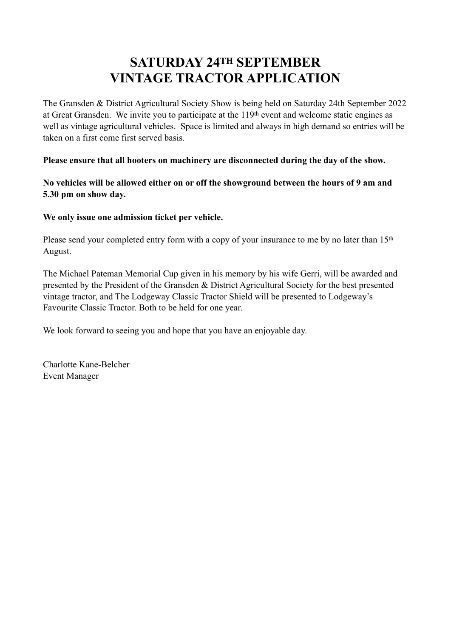## **SATURDAY 24TH SEPTEMBER VINTAGE TRACTOR APPLICATION**

The Gransden & District Agricultural Society Show is being held on Saturday 24th September 2022 at Great Gransden. We invite you to participate at the 119th event and welcome static engines as well as vintage agricultural vehicles. Space is limited and always in high demand so entries will be taken on a first come first served basis.

**Please ensure that all hooters on machinery are disconnected during the day of the show.** 

**No vehicles will be allowed either on or off the showground between the hours of 9 am and 5.30 pm on show day.**

**We only issue one admission ticket per vehicle.**

Please send your completed entry form with a copy of your insurance to me by no later than 15<sup>th</sup> August.

The Michael Pateman Memorial Cup given in his memory by his wife Gerri, will be awarded and presented by the President of the Gransden & District Agricultural Society for the best presented vintage tractor, and The Lodgeway Classic Tractor Shield will be presented to Lodgeway's Favourite Classic Tractor. Both to be held for one year.

We look forward to seeing you and hope that you have an enjoyable day.

Charlotte Kane-Belcher Event Manager